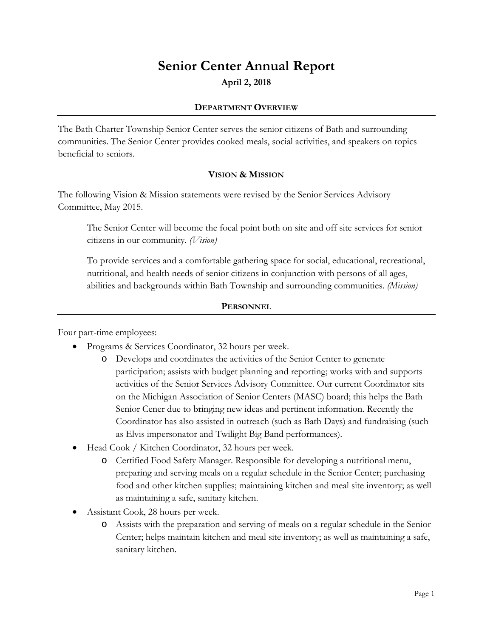# **Senior Center Annual Report**

**April 2, 2018**

#### **DEPARTMENT OVERVIEW**

The Bath Charter Township Senior Center serves the senior citizens of Bath and surrounding communities. The Senior Center provides cooked meals, social activities, and speakers on topics beneficial to seniors.

# **VISION & MISSION**

The following Vision & Mission statements were revised by the Senior Services Advisory Committee, May 2015.

The Senior Center will become the focal point both on site and off site services for senior citizens in our community. *(Vision)*

To provide services and a comfortable gathering space for social, educational, recreational, nutritional, and health needs of senior citizens in conjunction with persons of all ages, abilities and backgrounds within Bath Township and surrounding communities. *(Mission)*

# **PERSONNEL**

Four part-time employees:

- Programs & Services Coordinator, 32 hours per week.
	- o Develops and coordinates the activities of the Senior Center to generate participation; assists with budget planning and reporting; works with and supports activities of the Senior Services Advisory Committee. Our current Coordinator sits on the Michigan Association of Senior Centers (MASC) board; this helps the Bath Senior Cener due to bringing new ideas and pertinent information. Recently the Coordinator has also assisted in outreach (such as Bath Days) and fundraising (such as Elvis impersonator and Twilight Big Band performances).
- Head Cook / Kitchen Coordinator, 32 hours per week.
	- o Certified Food Safety Manager. Responsible for developing a nutritional menu, preparing and serving meals on a regular schedule in the Senior Center; purchasing food and other kitchen supplies; maintaining kitchen and meal site inventory; as well as maintaining a safe, sanitary kitchen.
- Assistant Cook, 28 hours per week.
	- o Assists with the preparation and serving of meals on a regular schedule in the Senior Center; helps maintain kitchen and meal site inventory; as well as maintaining a safe, sanitary kitchen.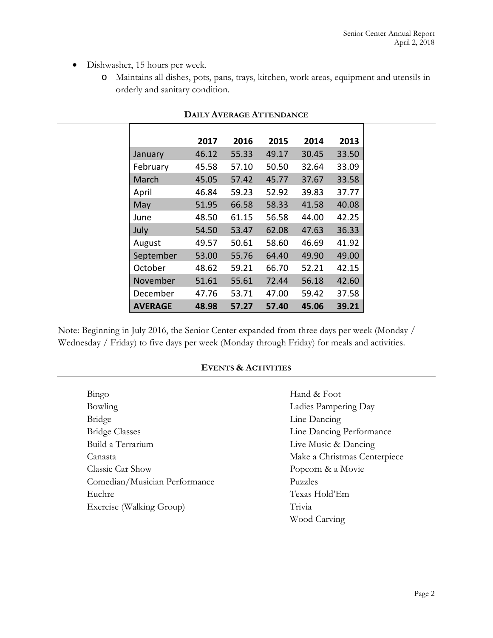- Dishwasher, 15 hours per week.
	- o Maintains all dishes, pots, pans, trays, kitchen, work areas, equipment and utensils in orderly and sanitary condition.

|                | 2017  | 2016  | 2015  | 2014  | 2013  |
|----------------|-------|-------|-------|-------|-------|
| January        | 46.12 | 55.33 | 49.17 | 30.45 | 33.50 |
| February       | 45.58 | 57.10 | 50.50 | 32.64 | 33.09 |
| March          | 45.05 | 57.42 | 45.77 | 37.67 | 33.58 |
| April          | 46.84 | 59.23 | 52.92 | 39.83 | 37.77 |
| May            | 51.95 | 66.58 | 58.33 | 41.58 | 40.08 |
| June           | 48.50 | 61.15 | 56.58 | 44.00 | 42.25 |
| July           | 54.50 | 53.47 | 62.08 | 47.63 | 36.33 |
| August         | 49.57 | 50.61 | 58.60 | 46.69 | 41.92 |
| September      | 53.00 | 55.76 | 64.40 | 49.90 | 49.00 |
| October        | 48.62 | 59.21 | 66.70 | 52.21 | 42.15 |
| November       | 51.61 | 55.61 | 72.44 | 56.18 | 42.60 |
| December       | 47.76 | 53.71 | 47.00 | 59.42 | 37.58 |
| <b>AVERAGE</b> | 48.98 | 57.27 | 57.40 | 45.06 | 39.21 |

#### **DAILY AVERAGE ATTENDANCE**

Note: Beginning in July 2016, the Senior Center expanded from three days per week (Monday / Wednesday / Friday) to five days per week (Monday through Friday) for meals and activities.

#### **EVENTS & ACTIVITIES**

| Bingo                         | Hand & Foot                  |  |
|-------------------------------|------------------------------|--|
| Bowling                       | Ladies Pampering Day         |  |
| Bridge                        | Line Dancing                 |  |
| <b>Bridge Classes</b>         | Line Dancing Performance     |  |
| Build a Terrarium             | Live Music & Dancing         |  |
| Canasta                       | Make a Christmas Centerpiece |  |
| Classic Car Show              | Popcorn & a Movie            |  |
| Comedian/Musician Performance | Puzzles                      |  |
| Euchre                        | Texas Hold'Em                |  |
| Exercise (Walking Group)      | Trivia                       |  |
|                               | Wood Carving                 |  |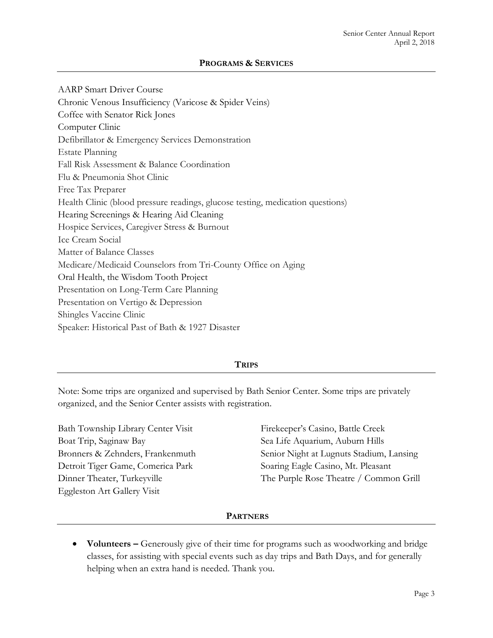AARP Smart Driver Course Chronic Venous Insufficiency (Varicose & Spider Veins) Coffee with Senator Rick Jones Computer Clinic Defibrillator & Emergency Services Demonstration Estate Planning Fall Risk Assessment & Balance Coordination Flu & Pneumonia Shot Clinic Free Tax Preparer Health Clinic (blood pressure readings, glucose testing, medication questions) Hearing Screenings & Hearing Aid Cleaning Hospice Services, Caregiver Stress & Burnout Ice Cream Social Matter of Balance Classes Medicare/Medicaid Counselors from Tri-County Office on Aging Oral Health, the Wisdom Tooth Project Presentation on Long-Term Care Planning Presentation on Vertigo & Depression Shingles Vaccine Clinic Speaker: Historical Past of Bath & 1927 Disaster

#### **TRIPS**

Note: Some trips are organized and supervised by Bath Senior Center. Some trips are privately organized, and the Senior Center assists with registration.

Bath Township Library Center Visit Boat Trip, Saginaw Bay Bronners & Zehnders, Frankenmuth Detroit Tiger Game, Comerica Park Dinner Theater, Turkeyville Eggleston Art Gallery Visit

Firekeeper's Casino, Battle Creek Sea Life Aquarium, Auburn Hills Senior Night at Lugnuts Stadium, Lansing Soaring Eagle Casino, Mt. Pleasant The Purple Rose Theatre / Common Grill

#### **PARTNERS**

• **Volunteers –** Generously give of their time for programs such as woodworking and bridge classes, for assisting with special events such as day trips and Bath Days, and for generally helping when an extra hand is needed. Thank you.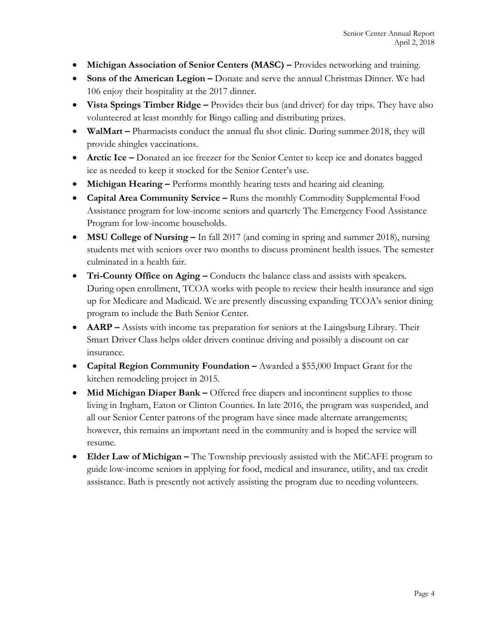- **Michigan Association of Senior Centers (MASC)** Provides networking and training.
- **Sons of the American Legion –** Donate and serve the annual Christmas Dinner. We had 106 enjoy their hospitality at the 2017 dinner.
- **Vista Springs Timber Ridge –** Provides their bus (and driver) for day trips. They have also volunteered at least monthly for Bingo calling and distributing prizes.
- **WalMart** Pharmacists conduct the annual flu shot clinic. During summer 2018, they will provide shingles vaccinations.
- **Arctic Ice –** Donated an ice freezer for the Senior Center to keep ice and donates bagged ice as needed to keep it stocked for the Senior Center's use.
- **Michigan Hearing** Performs monthly hearing tests and hearing aid cleaning.
- **Capital Area Community Service –** Runs the monthly Commodity Supplemental Food Assistance program for low-income seniors and quarterly The Emergency Food Assistance Program for low-income households.
- **MSU College of Nursing –** In fall 2017 (and coming in spring and summer 2018), nursing students met with seniors over two months to discuss prominent health issues. The semester culminated in a health fair.
- **Tri-County Office on Aging –** Conducts the balance class and assists with speakers. During open enrollment, TCOA works with people to review their health insurance and sign up for Medicare and Madicaid. We are presently discussing expanding TCOA's senior dining program to include the Bath Senior Center.
- **AARP** Assists with income tax preparation for seniors at the Laingsburg Library. Their Smart Driver Class helps older drivers continue driving and possibly a discount on car insurance.
- **Capital Region Community Foundation –** Awarded a \$55,000 Impact Grant for the kitchen remodeling project in 2015.
- **Mid Michigan Diaper Bank –** Offered free diapers and incontinent supplies to those living in Ingham, Eaton or Clinton Counties. In late 2016, the program was suspended, and all our Senior Center patrons of the program have since made alternate arrangements; however, this remains an important need in the community and is hoped the service will resume.
- **Elder Law of Michigan** The Township previously assisted with the MiCAFE program to guide low-income seniors in applying for food, medical and insurance, utility, and tax credit assistance. Bath is presently not actively assisting the program due to needing volunteers.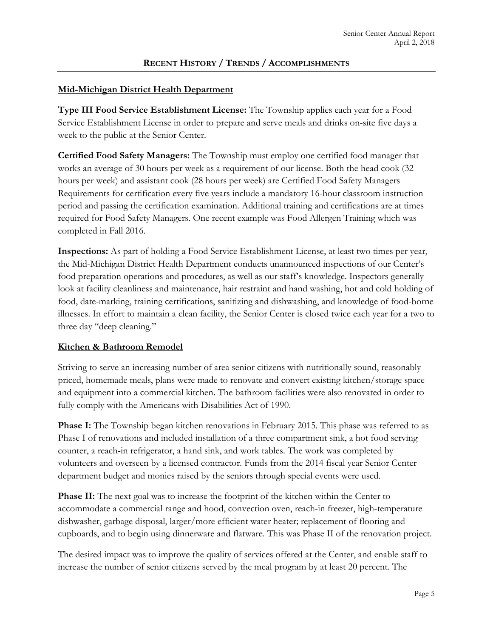#### **Mid-Michigan District Health Department**

**Type III Food Service Establishment License:** The Township applies each year for a Food Service Establishment License in order to prepare and serve meals and drinks on-site five days a week to the public at the Senior Center.

**Certified Food Safety Managers:** The Township must employ one certified food manager that works an average of 30 hours per week as a requirement of our license. Both the head cook (32 hours per week) and assistant cook (28 hours per week) are Certified Food Safety Managers Requirements for certification every five years include a mandatory 16-hour classroom instruction period and passing the certification examination. Additional training and certifications are at times required for Food Safety Managers. One recent example was Food Allergen Training which was completed in Fall 2016.

**Inspections:** As part of holding a Food Service Establishment License, at least two times per year, the Mid-Michigan District Health Department conducts unannounced inspections of our Center's food preparation operations and procedures, as well as our staff's knowledge. Inspectors generally look at facility cleanliness and maintenance, hair restraint and hand washing, hot and cold holding of food, date-marking, training certifications, sanitizing and dishwashing, and knowledge of food-borne illnesses. In effort to maintain a clean facility, the Senior Center is closed twice each year for a two to three day "deep cleaning."

#### **Kitchen & Bathroom Remodel**

Striving to serve an increasing number of area senior citizens with nutritionally sound, reasonably priced, homemade meals, plans were made to renovate and convert existing kitchen/storage space and equipment into a commercial kitchen. The bathroom facilities were also renovated in order to fully comply with the Americans with Disabilities Act of 1990.

**Phase I:** The Township began kitchen renovations in February 2015. This phase was referred to as Phase I of renovations and included installation of a three compartment sink, a hot food serving counter, a reach-in refrigerator, a hand sink, and work tables. The work was completed by volunteers and overseen by a licensed contractor. Funds from the 2014 fiscal year Senior Center department budget and monies raised by the seniors through special events were used.

**Phase II:** The next goal was to increase the footprint of the kitchen within the Center to accommodate a commercial range and hood, convection oven, reach-in freezer, high-temperature dishwasher, garbage disposal, larger/more efficient water heater; replacement of flooring and cupboards, and to begin using dinnerware and flatware. This was Phase II of the renovation project.

The desired impact was to improve the quality of services offered at the Center, and enable staff to increase the number of senior citizens served by the meal program by at least 20 percent. The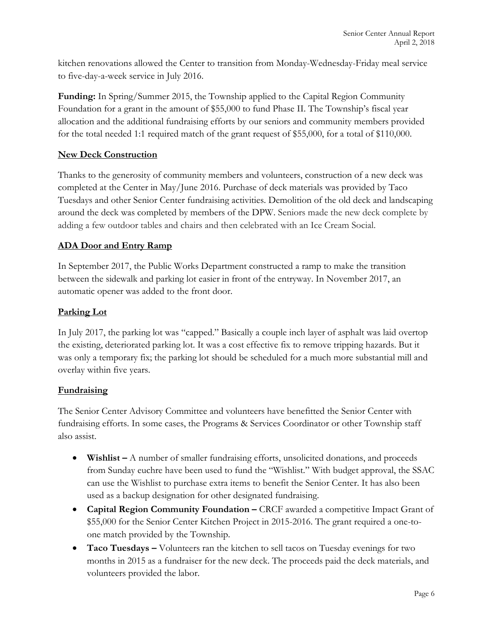kitchen renovations allowed the Center to transition from Monday-Wednesday-Friday meal service to five-day-a-week service in July 2016.

**Funding:** In Spring/Summer 2015, the Township applied to the Capital Region Community Foundation for a grant in the amount of \$55,000 to fund Phase II. The Township's fiscal year allocation and the additional fundraising efforts by our seniors and community members provided for the total needed 1:1 required match of the grant request of \$55,000, for a total of \$110,000.

# **New Deck Construction**

Thanks to the generosity of community members and volunteers, construction of a new deck was completed at the Center in May/June 2016. Purchase of deck materials was provided by Taco Tuesdays and other Senior Center fundraising activities. Demolition of the old deck and landscaping around the deck was completed by members of the DPW. Seniors made the new deck complete by adding a few outdoor tables and chairs and then celebrated with an Ice Cream Social.

# **ADA Door and Entry Ramp**

In September 2017, the Public Works Department constructed a ramp to make the transition between the sidewalk and parking lot easier in front of the entryway. In November 2017, an automatic opener was added to the front door.

# **Parking Lot**

In July 2017, the parking lot was "capped." Basically a couple inch layer of asphalt was laid overtop the existing, deteriorated parking lot. It was a cost effective fix to remove tripping hazards. But it was only a temporary fix; the parking lot should be scheduled for a much more substantial mill and overlay within five years.

#### **Fundraising**

The Senior Center Advisory Committee and volunteers have benefitted the Senior Center with fundraising efforts. In some cases, the Programs & Services Coordinator or other Township staff also assist.

- **Wishlist** A number of smaller fundraising efforts, unsolicited donations, and proceeds from Sunday euchre have been used to fund the "Wishlist." With budget approval, the SSAC can use the Wishlist to purchase extra items to benefit the Senior Center. It has also been used as a backup designation for other designated fundraising.
- **Capital Region Community Foundation –** CRCF awarded a competitive Impact Grant of \$55,000 for the Senior Center Kitchen Project in 2015-2016. The grant required a one-toone match provided by the Township.
- **Taco Tuesdays** Volunteers ran the kitchen to sell tacos on Tuesday evenings for two months in 2015 as a fundraiser for the new deck. The proceeds paid the deck materials, and volunteers provided the labor.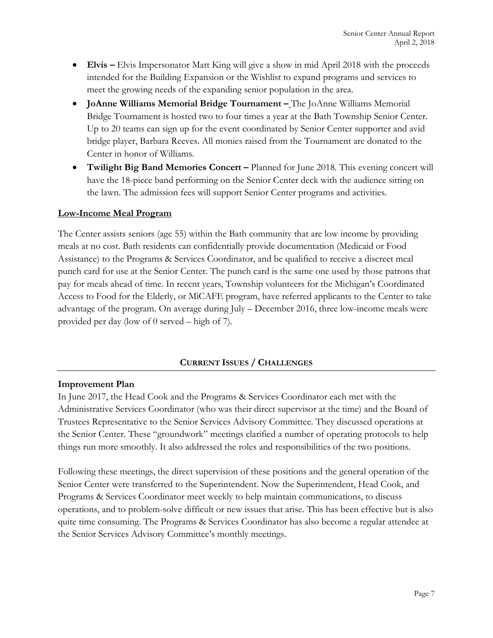- **Elvis** Elvis Impersonator Matt King will give a show in mid April 2018 with the proceeds intended for the Building Expansion or the Wishlist to expand programs and services to meet the growing needs of the expanding senior population in the area.
- **JoAnne Williams Memorial Bridge Tournament –** The JoAnne Williams Memorial Bridge Tournament is hosted two to four times a year at the Bath Township Senior Center. Up to 20 teams can sign up for the event coordinated by Senior Center supporter and avid bridge player, Barbara Reeves. All monies raised from the Tournament are donated to the Center in honor of Williams.
- **Twilight Big Band Memories Concert –** Planned for June 2018. This evening concert will have the 18-piece band performing on the Senior Center deck with the audience sitting on the lawn. The admission fees will support Senior Center programs and activities.

#### **Low-Income Meal Program**

The Center assists seniors (age 55) within the Bath community that are low income by providing meals at no cost. Bath residents can confidentially provide documentation (Medicaid or Food Assistance) to the Programs & Services Coordinator, and be qualified to receive a discreet meal punch card for use at the Senior Center. The punch card is the same one used by those patrons that pay for meals ahead of time. In recent years, Township volunteers for the Michigan's Coordinated Access to Food for the Elderly, or MiCAFE program, have referred applicants to the Center to take advantage of the program. On average during July – December 2016, three low-income meals were provided per day (low of 0 served – high of 7).

#### **CURRENT ISSUES / CHALLENGES**

#### **Improvement Plan**

In June 2017, the Head Cook and the Programs & Services Coordinator each met with the Administrative Services Coordinator (who was their direct supervisor at the time) and the Board of Trustees Representative to the Senior Services Advisory Committee. They discussed operations at the Senior Center. These "groundwork" meetings clarified a number of operating protocols to help things run more smoothly. It also addressed the roles and responsibilities of the two positions.

Following these meetings, the direct supervision of these positions and the general operation of the Senior Center were transferred to the Superintendent. Now the Superintendent, Head Cook, and Programs & Services Coordinator meet weekly to help maintain communications, to discuss operations, and to problem-solve difficult or new issues that arise. This has been effective but is also quite time consuming. The Programs & Services Coordinator has also become a regular attendee at the Senior Services Advisory Committee's monthly meetings.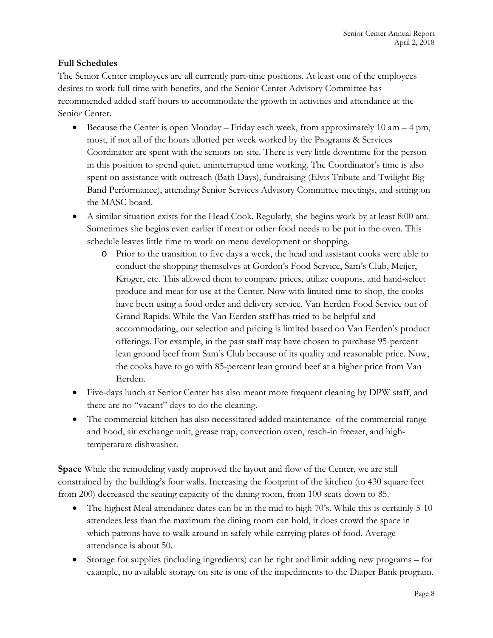# **Full Schedules**

The Senior Center employees are all currently part-time positions. At least one of the employees desires to work full-time with benefits, and the Senior Center Advisory Committee has recommended added staff hours to accommodate the growth in activities and attendance at the Senior Center.

- Because the Center is open Monday Friday each week, from approximately 10 am 4 pm, most, if not all of the hours allotted per week worked by the Programs & Services Coordinator are spent with the seniors on-site. There is very little downtime for the person in this position to spend quiet, uninterrupted time working. The Coordinator's time is also spent on assistance with outreach (Bath Days), fundraising (Elvis Tribute and Twilight Big Band Performance), attending Senior Services Advisory Committee meetings, and sitting on the MASC board.
- A similar situation exists for the Head Cook. Regularly, she begins work by at least 8:00 am. Sometimes she begins even earlier if meat or other food needs to be put in the oven. This schedule leaves little time to work on menu development or shopping.
	- o Prior to the transition to five days a week, the head and assistant cooks were able to conduct the shopping themselves at Gordon's Food Service, Sam's Club, Meijer, Kroger, etc. This allowed them to compare prices, utilize coupons, and hand-select produce and meat for use at the Center. Now with limited time to shop, the cooks have been using a food order and delivery service, Van Eerden Food Service out of Grand Rapids. While the Van Eerden staff has tried to be helpful and accommodating, our selection and pricing is limited based on Van Eerden's product offerings. For example, in the past staff may have chosen to purchase 95-percent lean ground beef from Sam's Club because of its quality and reasonable price. Now, the cooks have to go with 85-percent lean ground beef at a higher price from Van Eerden.
- Five-days lunch at Senior Center has also meant more frequent cleaning by DPW staff, and there are no "vacant" days to do the cleaning.
- The commercial kitchen has also necessitated added maintenance of the commercial range and hood, air exchange unit, grease trap, convection oven, reach-in freezer, and hightemperature dishwasher.

**Space** While the remodeling vastly improved the layout and flow of the Center, we are still constrained by the building's four walls. Increasing the footprint of the kitchen (to 430 square feet from 200) decreased the seating capacity of the dining room, from 100 seats down to 85.

- The highest Meal attendance dates can be in the mid to high 70's. While this is certainly 5-10 attendees less than the maximum the dining room can hold, it does crowd the space in which patrons have to walk around in safely while carrying plates of food. Average attendance is about 50.
- Storage for supplies (including ingredients) can be tight and limit adding new programs for example, no available storage on site is one of the impediments to the Diaper Bank program.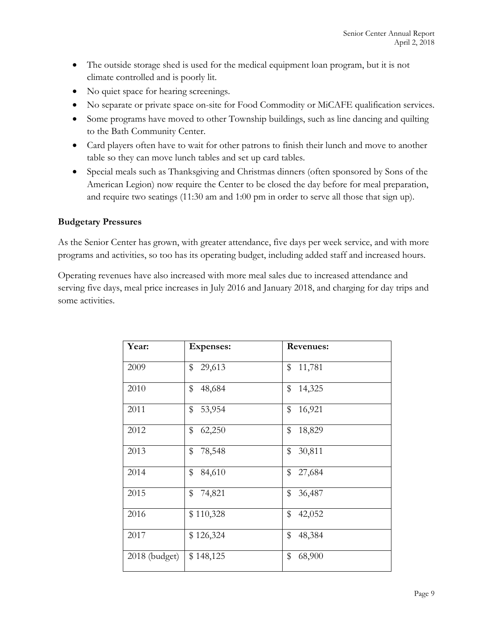- The outside storage shed is used for the medical equipment loan program, but it is not climate controlled and is poorly lit.
- No quiet space for hearing screenings.
- No separate or private space on-site for Food Commodity or MiCAFE qualification services.
- Some programs have moved to other Township buildings, such as line dancing and quilting to the Bath Community Center.
- Card players often have to wait for other patrons to finish their lunch and move to another table so they can move lunch tables and set up card tables.
- Special meals such as Thanksgiving and Christmas dinners (often sponsored by Sons of the American Legion) now require the Center to be closed the day before for meal preparation, and require two seatings (11:30 am and 1:00 pm in order to serve all those that sign up).

#### **Budgetary Pressures**

As the Senior Center has grown, with greater attendance, five days per week service, and with more programs and activities, so too has its operating budget, including added staff and increased hours.

Operating revenues have also increased with more meal sales due to increased attendance and serving five days, meal price increases in July 2016 and January 2018, and charging for day trips and some activities.

| Year:         | <b>Expenses:</b> | <b>Revenues:</b> |
|---------------|------------------|------------------|
| 2009          | \$<br>29,613     | \$<br>11,781     |
| 2010          | \$<br>48,684     | \$<br>14,325     |
| 2011          | \$<br>53,954     | \$<br>16,921     |
| 2012          | \$<br>62,250     | \$<br>18,829     |
| 2013          | \$<br>78,548     | \$<br>30,811     |
| 2014          | \$<br>84,610     | \$<br>27,684     |
| 2015          | \$<br>74,821     | \$<br>36,487     |
| 2016          | \$110,328        | \$<br>42,052     |
| 2017          | \$126,324        | \$<br>48,384     |
| 2018 (budget) | \$148,125        | \$<br>68,900     |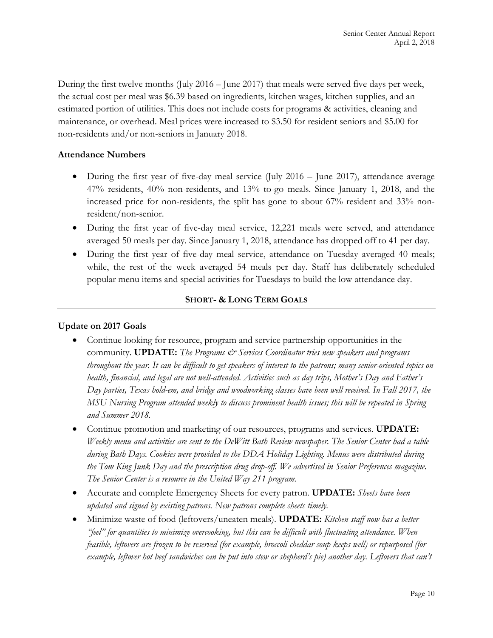During the first twelve months (July 2016 – June 2017) that meals were served five days per week, the actual cost per meal was \$6.39 based on ingredients, kitchen wages, kitchen supplies, and an estimated portion of utilities. This does not include costs for programs & activities, cleaning and maintenance, or overhead. Meal prices were increased to \$3.50 for resident seniors and \$5.00 for non-residents and/or non-seniors in January 2018.

#### **Attendance Numbers**

- During the first year of five-day meal service (July 2016 June 2017), attendance average 47% residents, 40% non-residents, and 13% to-go meals. Since January 1, 2018, and the increased price for non-residents, the split has gone to about 67% resident and 33% nonresident/non-senior.
- During the first year of five-day meal service, 12,221 meals were served, and attendance averaged 50 meals per day. Since January 1, 2018, attendance has dropped off to 41 per day.
- During the first year of five-day meal service, attendance on Tuesday averaged 40 meals; while, the rest of the week averaged 54 meals per day. Staff has deliberately scheduled popular menu items and special activities for Tuesdays to build the low attendance day.

#### **SHORT- & LONG TERM GOALS**

#### **Update on 2017 Goals**

- Continue looking for resource, program and service partnership opportunities in the community. **UPDATE:** *The Programs*  $\mathcal{C}^s$  *Services Coordinator tries new speakers and programs throughout the year. It can be difficult to get speakers of interest to the patrons; many senior-oriented topics on health, financial, and legal are not well-attended. Activities such as day trips, Mother's Day and Father's Day parties, Texas hold-em, and bridge and woodworking classes have been well received. In Fall 2017, the MSU Nursing Program attended weekly to discuss prominent health issues; this will be repeated in Spring and Summer 2018.*
- Continue promotion and marketing of our resources, programs and services. **UPDATE:** *Weekly menu and activities are sent to the DeWitt Bath Review newspaper. The Senior Center had a table during Bath Days. Cookies were provided to the DDA Holiday Lighting. Menus were distributed during the Tom King Junk Day and the prescription drug drop-off. We advertised in Senior Preferences magazine. The Senior Center is a resource in the United Way 211 program.*
- Accurate and complete Emergency Sheets for every patron. **UPDATE:** *Sheets have been updated and signed by existing patrons. New patrons complete sheets timely.*
- Minimize waste of food (leftovers/uneaten meals). **UPDATE:** *Kitchen staff now has a better "feel" for quantities to minimize overcooking, but this can be difficult with fluctuating attendance. When feasible, leftovers are frozen to be reserved (for example, broccoli cheddar soup keeps well) or repurposed (for*  example, leftover hot beef sandwiches can be put into stew or shepherd's pie) another day. Leftovers that can't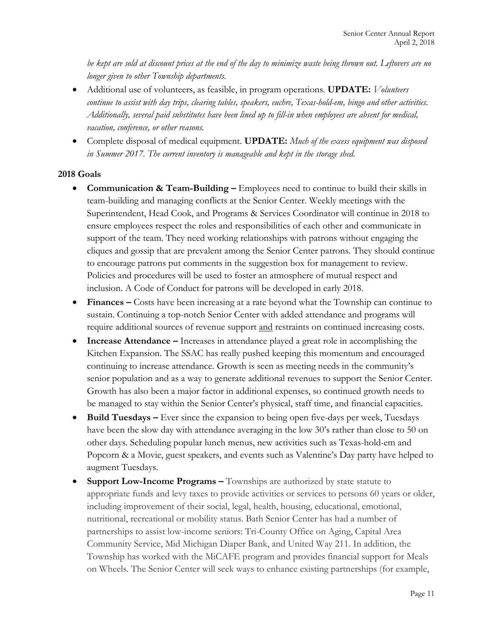*be kept are sold at discount prices at the end of the day to minimize waste being thrown out. Leftovers are no longer given to other Township departments.*

- Additional use of volunteers, as feasible, in program operations. **UPDATE:** *Volunteers continue to assist with day trips, clearing tables, speakers, euchre, Texas-hold-em, bingo and other activities. Additionally, several paid substitutes have been lined up to fill-in when employees are absent for medical, vacation, conference, or other reasons.*
- Complete disposal of medical equipment. **UPDATE:** *Much of the excess equipment was disposed in Summer 2017. The current inventory is manageable and kept in the storage shed.*

#### **2018 Goals**

- **Communication & Team-Building –** Employees need to continue to build their skills in team-building and managing conflicts at the Senior Center. Weekly meetings with the Superintendent, Head Cook, and Programs & Services Coordinator will continue in 2018 to ensure employees respect the roles and responsibilities of each other and communicate in support of the team. They need working relationships with patrons without engaging the cliques and gossip that are prevalent among the Senior Center patrons. They should continue to encourage patrons put comments in the suggestion box for management to review. Policies and procedures will be used to foster an atmosphere of mutual respect and inclusion. A Code of Conduct for patrons will be developed in early 2018.
- **Finances** Costs have been increasing at a rate beyond what the Township can continue to sustain. Continuing a top-notch Senior Center with added attendance and programs will require additional sources of revenue support and restraints on continued increasing costs.
- **Increase Attendance** Increases in attendance played a great role in accomplishing the Kitchen Expansion. The SSAC has really pushed keeping this momentum and encouraged continuing to increase attendance. Growth is seen as meeting needs in the community's senior population and as a way to generate additional revenues to support the Senior Center. Growth has also been a major factor in additional expenses, so continued growth needs to be managed to stay within the Senior Center's physical, staff time, and financial capacities.
- **Build Tuesdays –** Ever since the expansion to being open five-days per week, Tuesdays have been the slow day with attendance averaging in the low 30's rather than close to 50 on other days. Scheduling popular lunch menus, new activities such as Texas-hold-em and Popcorn & a Movie, guest speakers, and events such as Valentine's Day party have helped to augment Tuesdays.
- **Support Low-Income Programs –** Townships are authorized by state statute to appropriate funds and levy taxes to provide activities or services to persons 60 years or older, including improvement of their social, legal, health, housing, educational, emotional, nutritional, recreational or mobility status. Bath Senior Center has had a number of partnerships to assist low-income seniors: Tri-County Office on Aging, Capital Area Community Service, Mid Michigan Diaper Bank, and United Way 211. In addition, the Township has worked with the MiCAFE program and provides financial support for Meals on Wheels. The Senior Center will seek ways to enhance existing partnerships (for example,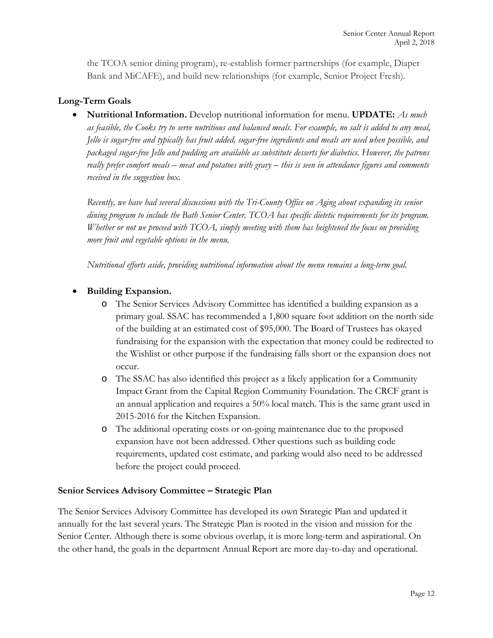the TCOA senior dining program), re-establish former partnerships (for example, Diaper Bank and MiCAFE), and build new relationships (for example, Senior Project Fresh).

#### **Long-Term Goals**

• **Nutritional Information.** Develop nutritional information for menu. **UPDATE:** *As much as feasible, the Cooks try to serve nutritious and balanced meals. For example, no salt is added to any meal, Jello is sugar-free and typically has fruit added, sugar-free ingredients and meals are used when possible, and packaged sugar-free Jello and pudding are available as substitute desserts for diabetics. However, the patrons really prefer comfort meals – meat and potatoes with gravy – this is seen in attendance figures and comments received in the suggestion box.*

*Recently, we have had several discussions with the Tri-County Office on Aging about expanding its senior dining program to include the Bath Senior Center. TCOA has specific dietetic requirements for its program. Whether or not we proceed with TCOA, simply meeting with them has heightened the focus on providing more fruit and vegetable options in the menu.*

*Nutritional efforts aside, providing nutritional information about the menu remains a long-term goal.*

#### • **Building Expansion.**

- o The Senior Services Advisory Committee has identified a building expansion as a primary goal. SSAC has recommended a 1,800 square foot addition on the north side of the building at an estimated cost of \$95,000. The Board of Trustees has okayed fundraising for the expansion with the expectation that money could be redirected to the Wishlist or other purpose if the fundraising falls short or the expansion does not occur.
- o The SSAC has also identified this project as a likely application for a Community Impact Grant from the Capital Region Community Foundation. The CRCF grant is an annual application and requires a 50% local match. This is the same grant used in 2015-2016 for the Kitchen Expansion.
- o The additional operating costs or on-going maintenance due to the proposed expansion have not been addressed. Other questions such as building code requirements, updated cost estimate, and parking would also need to be addressed before the project could proceed.

#### **Senior Services Advisory Committee – Strategic Plan**

The Senior Services Advisory Committee has developed its own Strategic Plan and updated it annually for the last several years. The Strategic Plan is rooted in the vision and mission for the Senior Center. Although there is some obvious overlap, it is more long-term and aspirational. On the other hand, the goals in the department Annual Report are more day-to-day and operational.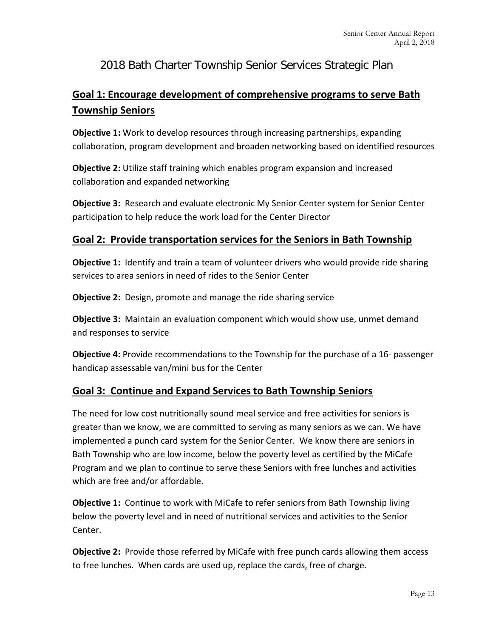# 2018 Bath Charter Township Senior Services Strategic Plan

# **Goal 1: Encourage development of comprehensive programs to serve Bath Township Seniors**

**Objective 1:** Work to develop resources through increasing partnerships, expanding collaboration, program development and broaden networking based on identified resources

**Objective 2:** Utilize staff training which enables program expansion and increased collaboration and expanded networking

**Objective 3:** Research and evaluate electronic My Senior Center system for Senior Center participation to help reduce the work load for the Center Director

# **Goal 2: Provide transportation services for the Seniors in Bath Township**

**Objective 1:** Identify and train a team of volunteer drivers who would provide ride sharing services to area seniors in need of rides to the Senior Center

**Objective 2:** Design, promote and manage the ride sharing service

**Objective 3:** Maintain an evaluation component which would show use, unmet demand and responses to service

**Objective 4:** Provide recommendations to the Township for the purchase of a 16- passenger handicap assessable van/mini bus for the Center

# **Goal 3: Continue and Expand Services to Bath Township Seniors**

The need for low cost nutritionally sound meal service and free activities for seniors is greater than we know, we are committed to serving as many seniors as we can. We have implemented a punch card system for the Senior Center. We know there are seniors in Bath Township who are low income, below the poverty level as certified by the MiCafe Program and we plan to continue to serve these Seniors with free lunches and activities which are free and/or affordable.

**Objective 1:** Continue to work with MiCafe to refer seniors from Bath Township living below the poverty level and in need of nutritional services and activities to the Senior Center.

**Objective 2:** Provide those referred by MiCafe with free punch cards allowing them access to free lunches. When cards are used up, replace the cards, free of charge.